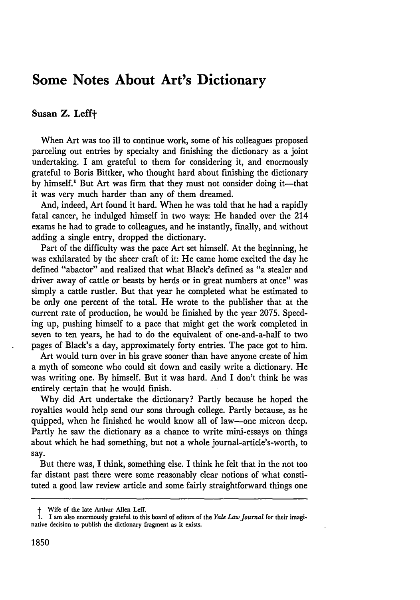## **Some Notes About Art's Dictionary**

## Susan **Z.** Lefft

When Art was too ill to continue work, some of his colleagues proposed parceling out entries **by** specialty and finishing the dictionary as a joint undertaking. I am grateful to them for considering it, and enormously grateful to Boris Bittker, who thought hard about finishing the dictionary by himself.<sup>1</sup> But Art was firm that they must not consider doing it—that it was very much harder than any of them dreamed.

And, indeed, Art found it hard. When he was told that he had a rapidly fatal cancer, he indulged himself in two ways: He handed over the 214 exams he had to grade to colleagues, and he instantly, finally, and without adding a single entry, dropped the dictionary.

Part of the difficulty was the pace Art set himself. At the beginning, he was exhilarated **by** the sheer craft of it: He came home excited the day he defined "abactor" and realized that what Black's defined as "a stealer and driver away of cattle or beasts **by** herds or in great numbers at once" was simply a cattle rustler. But that year he completed what he estimated to be only one percent of the total. He wrote to the publisher that at the current rate of production, he would be finished by the year **2075.** Speeding up, pushing himself to a pace that might get the work completed in seven to ten years, he had to do the equivalent of one-and-a-half to two pages of Black's a day, approximately forty entries. The pace got to him.

Art would turn over in his grave sooner than have anyone create of him a myth of someone who could sit down and easily write a dictionary. He was writing one. **By** himself. But it was hard. And I don't think he was entirely certain that he would finish.

**Why** did Art undertake the dictionary? Partly because he hoped the royalties would help send our sons through college. Partly because, as he quipped, when he finished he would know all of law-one micron deep. Partly he saw the dictionary as a chance to write mini-essays on things about which he had something, but not a whole journal-article's-worth, to say.

But there was, I think, something else. I think he felt that in the not too far distant past there were some reasonably clear notions of what constituted a good law review article and some fairly straightforward things one

t Wife of the late Arthur Allen Leff.

<sup>1.</sup> I am also enormously grateful to this board of editors of the *Yale LawJournal* for their imaginative decision to publish the dictionary fragment as it exists.